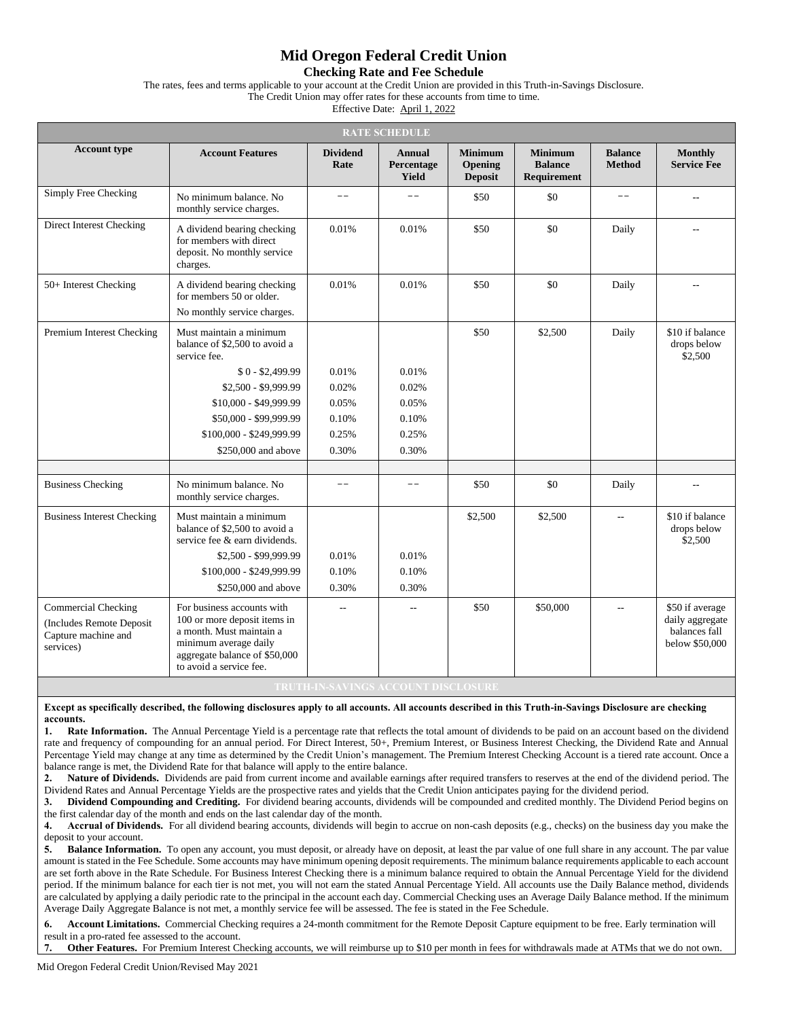## **Mid Oregon Federal Credit Union**

**Checking Rate and Fee Schedule**

The rates, fees and terms applicable to your account at the Credit Union are provided in this Truth-in-Savings Disclosure.

The Credit Union may offer rates for these accounts from time to time.

Effective Date: April 1, 2022

| <b>RATE SCHEDULE</b>                                                                       |                                                                                                                                                                             |                         |                                      |                                             |                                                 |                                 |                                                                       |  |
|--------------------------------------------------------------------------------------------|-----------------------------------------------------------------------------------------------------------------------------------------------------------------------------|-------------------------|--------------------------------------|---------------------------------------------|-------------------------------------------------|---------------------------------|-----------------------------------------------------------------------|--|
| <b>Account type</b>                                                                        | <b>Account Features</b>                                                                                                                                                     | <b>Dividend</b><br>Rate | <b>Annual</b><br>Percentage<br>Yield | <b>Minimum</b><br>Opening<br><b>Deposit</b> | <b>Minimum</b><br><b>Balance</b><br>Requirement | <b>Balance</b><br><b>Method</b> | <b>Monthly</b><br><b>Service Fee</b>                                  |  |
| Simply Free Checking                                                                       | No minimum balance. No<br>monthly service charges.                                                                                                                          | $-$                     | $\qquad \qquad -$                    | \$50                                        | \$0                                             | $- -$                           | $-$                                                                   |  |
| Direct Interest Checking                                                                   | A dividend bearing checking<br>for members with direct<br>deposit. No monthly service<br>charges.                                                                           | 0.01%                   | 0.01%                                | \$50                                        | \$0                                             | Daily                           | $\sim$ $\sim$                                                         |  |
| 50+ Interest Checking                                                                      | A dividend bearing checking<br>for members 50 or older.<br>No monthly service charges.                                                                                      | 0.01%                   | 0.01%                                | \$50                                        | \$0                                             | Daily                           | Ξ.                                                                    |  |
| Premium Interest Checking                                                                  | Must maintain a minimum<br>balance of \$2,500 to avoid a<br>service fee.                                                                                                    |                         |                                      | \$50                                        | \$2,500                                         | Daily                           | \$10 if balance<br>drops below<br>\$2,500                             |  |
|                                                                                            | $$0 - $2,499.99$                                                                                                                                                            | 0.01%                   | 0.01%                                |                                             |                                                 |                                 |                                                                       |  |
|                                                                                            | \$2,500 - \$9,999.99                                                                                                                                                        | 0.02%                   | 0.02%                                |                                             |                                                 |                                 |                                                                       |  |
|                                                                                            | \$10,000 - \$49,999.99                                                                                                                                                      | 0.05%                   | 0.05%                                |                                             |                                                 |                                 |                                                                       |  |
|                                                                                            | \$50,000 - \$99,999.99                                                                                                                                                      | 0.10%                   | 0.10%                                |                                             |                                                 |                                 |                                                                       |  |
|                                                                                            | \$100,000 - \$249,999.99                                                                                                                                                    | 0.25%                   | 0.25%                                |                                             |                                                 |                                 |                                                                       |  |
|                                                                                            | \$250,000 and above                                                                                                                                                         | 0.30%                   | 0.30%                                |                                             |                                                 |                                 |                                                                       |  |
|                                                                                            |                                                                                                                                                                             |                         |                                      |                                             |                                                 |                                 |                                                                       |  |
| <b>Business Checking</b>                                                                   | No minimum balance. No<br>monthly service charges.                                                                                                                          |                         | $ -$                                 | \$50                                        | \$0                                             | Daily                           | $\overline{a}$                                                        |  |
| <b>Business Interest Checking</b>                                                          | Must maintain a minimum<br>balance of \$2,500 to avoid a<br>service fee & earn dividends.                                                                                   |                         |                                      | \$2,500                                     | \$2,500                                         | $\sim$                          | \$10 if balance<br>drops below<br>\$2,500                             |  |
|                                                                                            | \$2,500 - \$99,999.99                                                                                                                                                       | 0.01%                   | 0.01%                                |                                             |                                                 |                                 |                                                                       |  |
|                                                                                            | \$100,000 - \$249,999.99                                                                                                                                                    | 0.10%                   | 0.10%                                |                                             |                                                 |                                 |                                                                       |  |
|                                                                                            | \$250,000 and above                                                                                                                                                         | 0.30%                   | 0.30%                                |                                             |                                                 |                                 |                                                                       |  |
| <b>Commercial Checking</b><br>(Includes Remote Deposit<br>Capture machine and<br>services) | For business accounts with<br>100 or more deposit items in<br>a month. Must maintain a<br>minimum average daily<br>aggregate balance of \$50,000<br>to avoid a service fee. | $\sim$                  | $\overline{\phantom{m}}$             | \$50                                        | \$50,000                                        | $\overline{a}$                  | \$50 if average<br>daily aggregate<br>balances fall<br>below \$50,000 |  |

**Except as specifically described, the following disclosures apply to all accounts. All accounts described in this Truth-in-Savings Disclosure are checking accounts.**

1. **Rate Information.** The Annual Percentage Yield is a percentage rate that reflects the total amount of dividends to be paid on an account based on the dividend rate and frequency of compounding for an annual period. For Direct Interest, 50+, Premium Interest, or Business Interest Checking, the Dividend Rate and Annual Percentage Yield may change at any time as determined by the Credit Union's management. The Premium Interest Checking Account is a tiered rate account. Once a balance range is met, the Dividend Rate for that balance will apply to the entire balance.

**2. Nature of Dividends.** Dividends are paid from current income and available earnings after required transfers to reserves at the end of the dividend period. The Dividend Rates and Annual Percentage Yields are the prospective rates and yields that the Credit Union anticipates paying for the dividend period.

**3. Dividend Compounding and Crediting.** For dividend bearing accounts, dividends will be compounded and credited monthly. The Dividend Period begins on the first calendar day of the month and ends on the last calendar day of the month.

**4. Accrual of Dividends.** For all dividend bearing accounts, dividends will begin to accrue on non-cash deposits (e.g., checks) on the business day you make the deposit to your account.

5. **Balance Information.** To open any account, you must deposit, or already have on deposit, at least the par value of one full share in any account. The par value amount is stated in the Fee Schedule. Some accounts may have minimum opening deposit requirements. The minimum balance requirements applicable to each account are set forth above in the Rate Schedule. For Business Interest Checking there is a minimum balance required to obtain the Annual Percentage Yield for the dividend period. If the minimum balance for each tier is not met, you will not earn the stated Annual Percentage Yield. All accounts use the Daily Balance method, dividends are calculated by applying a daily periodic rate to the principal in the account each day. Commercial Checking uses an Average Daily Balance method. If the minimum Average Daily Aggregate Balance is not met, a monthly service fee will be assessed. The fee is stated in the Fee Schedule.

**6. Account Limitations.** Commercial Checking requires a 24-month commitment for the Remote Deposit Capture equipment to be free. Early termination will result in a pro-rated fee assessed to the account.

**Other Features.** For Premium Interest Checking accounts, we will reimburse up to \$10 per month in fees for withdrawals made at ATMs that we do not own.